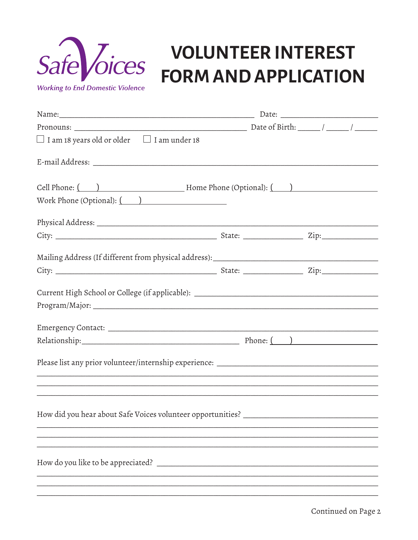

# Safe *Joices* **VOLUNTEER INTEREST**

**Working to End Domestic Violence** 

| $\Box$ I am 18 years old or older $\Box$ I am under 18                            |  |
|-----------------------------------------------------------------------------------|--|
|                                                                                   |  |
| Cell Phone: ( ) Thome Phone (Optional): ( )                                       |  |
| Work Phone (Optional): $($                                                        |  |
|                                                                                   |  |
|                                                                                   |  |
|                                                                                   |  |
|                                                                                   |  |
| Current High School or College (if applicable): _________________________________ |  |
|                                                                                   |  |
|                                                                                   |  |
|                                                                                   |  |
|                                                                                   |  |
|                                                                                   |  |
|                                                                                   |  |
|                                                                                   |  |
|                                                                                   |  |
|                                                                                   |  |
|                                                                                   |  |
|                                                                                   |  |
|                                                                                   |  |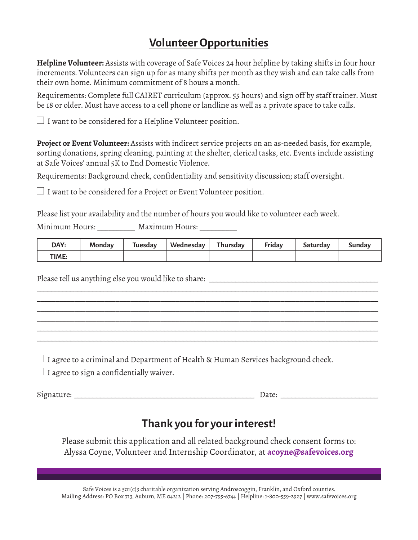## **Volunteer Opportunities**

**Helpline Volunteer:** Assists with coverage of Safe Voices 24 hour helpline by taking shifts in four hour increments. Volunteers can sign up for as many shifts per month as they wish and can take calls from their own home. Minimum commitment of 8 hours a month.

Requirements: Complete full CAIRET curriculum (approx. 55 hours) and sign off by staff trainer. Must be 18 or older. Must have access to a cell phone or landline as well as a private space to take calls.

 $\Box$  I want to be considered for a Helpline Volunteer position.

**Project or Event Volunteer:** Assists with indirect service projects on an as-needed basis, for example, sorting donations, spring cleaning, painting at the shelter, clerical tasks, etc. Events include assisting at Safe Voices' annual 5K to End Domestic Violence.

Requirements: Background check, confidentiality and sensitivity discussion; staff oversight.

 $\Box$  I want to be considered for a Project or Event Volunteer position.

Please list your availability and the number of hours you would like to volunteer each week.

Minimum Hours: \_\_\_\_\_\_\_\_\_\_ Maximum Hours: \_\_\_\_\_\_\_\_\_\_

| DAY:  | Mondav | Tuesdav | Wednesday | Thursday | Friday | Saturdav | Sundav |
|-------|--------|---------|-----------|----------|--------|----------|--------|
| TIME: |        |         |           |          |        |          |        |

\_\_\_\_\_\_\_\_\_\_\_\_\_\_\_\_\_\_\_\_\_\_\_\_\_\_\_\_\_\_\_\_\_\_\_\_\_\_\_\_\_\_\_\_\_\_\_\_\_\_\_\_\_\_\_\_\_\_\_\_\_\_\_\_\_\_\_\_\_\_\_\_\_\_\_\_\_\_\_\_\_\_\_\_\_\_\_\_\_\_\_ \_\_\_\_\_\_\_\_\_\_\_\_\_\_\_\_\_\_\_\_\_\_\_\_\_\_\_\_\_\_\_\_\_\_\_\_\_\_\_\_\_\_\_\_\_\_\_\_\_\_\_\_\_\_\_\_\_\_\_\_\_\_\_\_\_\_\_\_\_\_\_\_\_\_\_\_\_\_\_\_\_\_\_\_\_\_\_\_\_\_\_ \_\_\_\_\_\_\_\_\_\_\_\_\_\_\_\_\_\_\_\_\_\_\_\_\_\_\_\_\_\_\_\_\_\_\_\_\_\_\_\_\_\_\_\_\_\_\_\_\_\_\_\_\_\_\_\_\_\_\_\_\_\_\_\_\_\_\_\_\_\_\_\_\_\_\_\_\_\_\_\_\_\_\_\_\_\_\_\_\_\_\_ \_\_\_\_\_\_\_\_\_\_\_\_\_\_\_\_\_\_\_\_\_\_\_\_\_\_\_\_\_\_\_\_\_\_\_\_\_\_\_\_\_\_\_\_\_\_\_\_\_\_\_\_\_\_\_\_\_\_\_\_\_\_\_\_\_\_\_\_\_\_\_\_\_\_\_\_\_\_\_\_\_\_\_\_\_\_\_\_\_\_\_ \_\_\_\_\_\_\_\_\_\_\_\_\_\_\_\_\_\_\_\_\_\_\_\_\_\_\_\_\_\_\_\_\_\_\_\_\_\_\_\_\_\_\_\_\_\_\_\_\_\_\_\_\_\_\_\_\_\_\_\_\_\_\_\_\_\_\_\_\_\_\_\_\_\_\_\_\_\_\_\_\_\_\_\_\_\_\_\_\_\_\_ \_\_\_\_\_\_\_\_\_\_\_\_\_\_\_\_\_\_\_\_\_\_\_\_\_\_\_\_\_\_\_\_\_\_\_\_\_\_\_\_\_\_\_\_\_\_\_\_\_\_\_\_\_\_\_\_\_\_\_\_\_\_\_\_\_\_\_\_\_\_\_\_\_\_\_\_\_\_\_\_\_\_\_\_\_\_\_\_\_\_\_

Please tell us anything else you would like to share:

 $\Box$  I agree to a criminal and Department of Health & Human Services background check.

 $\Box$  I agree to sign a confidentially waiver.

Signature: \_\_\_\_\_\_\_\_\_\_\_\_\_\_\_\_\_\_\_\_\_\_\_\_\_\_\_\_\_\_\_\_\_\_\_\_\_\_\_\_\_\_\_\_\_\_\_\_ Date: \_\_\_\_\_\_\_\_\_\_\_\_\_\_\_\_\_\_\_\_\_\_\_\_\_\_

### **Thank you for your interest!**

Please submit this application and all related background check consent forms to: Alyssa Coyne, Volunteer and Internship Coordinator, at **acoyne@safevoices.org**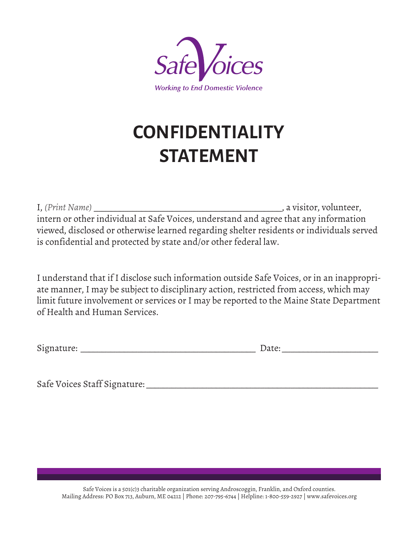

# **CONFIDENTIALITY STATEMENT**

I, *(Print Name)* \_\_\_\_\_\_\_\_\_\_\_\_\_\_\_\_\_\_\_\_\_\_\_\_\_\_\_\_\_\_\_\_\_\_\_\_\_\_\_\_\_\_\_, a visitor, volunteer, intern or other individual at Safe Voices, understand and agree that any information viewed, disclosed or otherwise learned regarding shelter residents or individuals served is confidential and protected by state and/or other federal law.

I understand that if I disclose such information outside Safe Voices, or in an inappropriate manner, I may be subject to disciplinary action, restricted from access, which may limit future involvement or services or I may be reported to the Maine State Department of Health and Human Services.

| Signature: |  |
|------------|--|
|            |  |

 $\Box$  Date:

Safe Voices Staff Signature: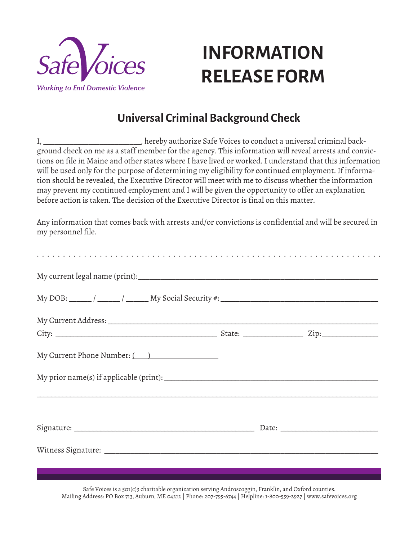

# **INFORMATION RELEASE FORM**

## **Universal Criminal Background Check**

I, \_\_\_\_\_\_\_\_\_\_\_\_\_\_\_\_\_\_\_\_\_\_\_\_\_\_, hereby authorize Safe Voices to conduct a universal criminal background check on me as a staff member for the agency. This information will reveal arrests and convictions on file in Maine and other states where I have lived or worked. I understand that this information will be used only for the purpose of determining my eligibility for continued employment. If information should be revealed, the Executive Director will meet with me to discuss whether the information may prevent my continued employment and I will be given the opportunity to offer an explanation before action is taken. The decision of the Executive Director is final on this matter.

Any information that comes back with arrests and/or convictions is confidential and will be secured in my personnel file.

| My Current Phone Number: (2010) |  |
|---------------------------------|--|
|                                 |  |
|                                 |  |
|                                 |  |
|                                 |  |

Safe Voices is a 501(c)3 charitable organization serving Androscoggin, Franklin, and Oxford counties. Mailing Address: PO Box 713, Auburn, ME 04212 | Phone: 207-795-6744 | Helpline: 1-800-559-2927 | www.safevoices.org